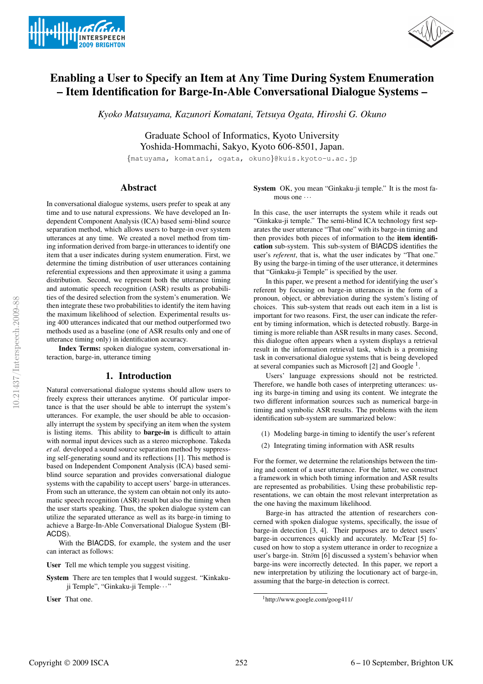



# Enabling a User to Specify an Item at Any Time During System Enumeration – Item Identification for Barge-In-Able Conversational Dialogue Systems –

*Kyoko Matsuyama, Kazunori Komatani, Tetsuya Ogata, Hiroshi G. Okuno*

Graduate School of Informatics, Kyoto University Yoshida-Hommachi, Sakyo, Kyoto 606-8501, Japan.

{matuyama, komatani, ogata, okuno}@kuis.kyoto-u.ac.jp

# Abstract

In conversational dialogue systems, users prefer to speak at any time and to use natural expressions. We have developed an Independent Component Analysis (ICA) based semi-blind source separation method, which allows users to barge-in over system utterances at any time. We created a novel method from timing information derived from barge-in utterances to identify one item that a user indicates during system enumeration. First, we determine the timing distribution of user utterances containing referential expressions and then approximate it using a gamma distribution. Second, we represent both the utterance timing and automatic speech recognition (ASR) results as probabilities of the desired selection from the system's enumeration. We then integrate these two probabilities to identify the item having the maximum likelihood of selection. Experimental results using 400 utterances indicated that our method outperformed two methods used as a baseline (one of ASR results only and one of utterance timing only) in identification accuracy.

Index Terms: spoken dialogue system, conversational interaction, barge-in, utterance timing

# 1. Introduction

Natural conversational dialogue systems should allow users to freely express their utterances anytime. Of particular importance is that the user should be able to interrupt the system's utterances. For example, the user should be able to occasionally interrupt the system by specifying an item when the system is listing items. This ability to barge-in is difficult to attain with normal input devices such as a stereo microphone. Takeda *et al.* developed a sound source separation method by suppressing self-generating sound and its reflections [1]. This method is based on Independent Component Analysis (ICA) based semiblind source separation and provides conversational dialogue systems with the capability to accept users' barge-in utterances. From such an utterance, the system can obtain not only its automatic speech recognition (ASR) result but also the timing when the user starts speaking. Thus, the spoken dialogue system can utilize the separated utterance as well as its barge-in timing to achieve a Barge-In-Able Conversational Dialogue System (BI-ACDS).

With the BIACDS, for example, the system and the user can interact as follows:

User Tell me which temple you suggest visiting.

System There are ten temples that I would suggest. "Kinkakuji Temple", "Ginkaku-ji Temple···"

User That one.

System OK, you mean "Ginkaku-ji temple." It is the most famous one  $\cdots$ 

In this case, the user interrupts the system while it reads out "Ginkaku-ji temple." The semi-blind ICA technology first separates the user utterance "That one" with its barge-in timing and then provides both pieces of information to the item identification sub-system. This sub-system of BIACDS identifies the user's *referent*, that is, what the user indicates by "That one." By using the barge-in timing of the user utterance, it determines that "Ginkaku-ji Temple" is specified by the user.

In this paper, we present a method for identifying the user's referent by focusing on barge-in utterances in the form of a pronoun, object, or abbreviation during the system's listing of choices. This sub-system that reads out each item in a list is important for two reasons. First, the user can indicate the referent by timing information, which is detected robustly. Barge-in timing is more reliable than ASR results in many cases. Second, this dialogue often appears when a system displays a retrieval result in the information retrieval task, which is a promising task in conversational dialogue systems that is being developed at several companies such as Microsoft [2] and Google<sup>1</sup>.

Users' language expressions should not be restricted. Therefore, we handle both cases of interpreting utterances: using its barge-in timing and using its content. We integrate the two different information sources such as numerical barge-in timing and symbolic ASR results. The problems with the item identification sub-system are summarized below:

- (1) Modeling barge-in timing to identify the user's referent
- (2) Integrating timing information with ASR results

For the former, we determine the relationships between the timing and content of a user utterance. For the latter, we construct a framework in which both timing information and ASR results are represented as probabilities. Using these probabilistic representations, we can obtain the most relevant interpretation as the one having the maximum likelihood.

Barge-in has attracted the attention of researchers concerned with spoken dialogue systems, specifically, the issue of barge-in detection [3, 4]. Their purposes are to detect users' barge-in occurrences quickly and accurately. McTear [5] focused on how to stop a system utterance in order to recognize a user's barge-in. Ström [6] discussed a system's behavior when barge-ins were incorrectly detected. In this paper, we report a new interpretation by utilizing the locutionary act of barge-in, assuming that the barge-in detection is correct.

<sup>1</sup>http://www.google.com/goog411/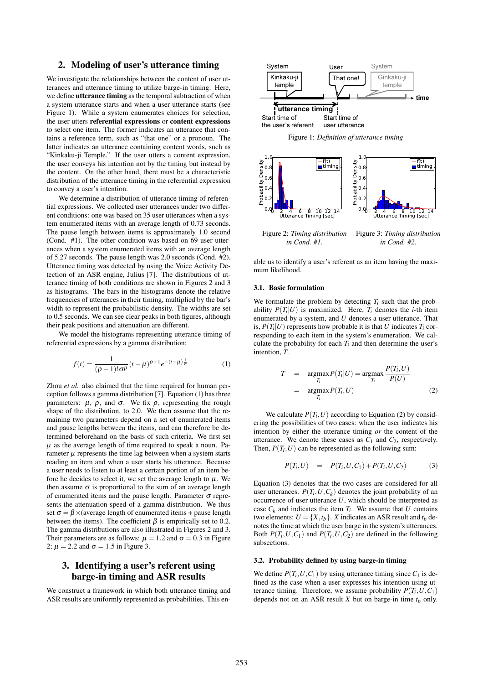# 2. Modeling of user's utterance timing

We investigate the relationships between the content of user utterances and utterance timing to utilize barge-in timing. Here, we define **utterance timing** as the temporal subtraction of when a system utterance starts and when a user utterance starts (see Figure 1). While a system enumerates choices for selection, the user utters referential expressions or content expressions to select one item. The former indicates an utterance that contains a reference term, such as "that one" or a pronoun. The latter indicates an utterance containing content words, such as "Kinkaku-ji Temple." If the user utters a content expression, the user conveys his intention not by the timing but instead by the content. On the other hand, there must be a characteristic distribution of the utterance timing in the referential expression to convey a user's intention.

We determine a distribution of utterance timing of referential expressions. We collected user utterances under two different conditions: one was based on 35 user utterances when a system enumerated items with an average length of 0.73 seconds. The pause length between items is approximately 1.0 second (Cond. #1). The other condition was based on 69 user utterances when a system enumerated items with an average length of 5.27 seconds. The pause length was 2.0 seconds (Cond. #2). Utterance timing was detected by using the Voice Activity Detection of an ASR engine, Julius [7]. The distributions of utterance timing of both conditions are shown in Figures 2 and 3 as histograms. The bars in the histograms denote the relative frequencies of utterances in their timing, multiplied by the bar's width to represent the probabilistic density. The widths are set to 0.5 seconds. We can see clear peaks in both figures, although their peak positions and attenuation are different.

We model the histograms representing utterance timing of referential expressions by a gamma distribution:

$$
f(t) = \frac{1}{(\rho - 1)! \sigma^{\rho}} (t - \mu)^{\rho - 1} e^{-(t - \mu) \frac{1}{\sigma}}
$$
 (1)

Zhou *et al.* also claimed that the time required for human perception follows a gamma distribution [7]. Equation (1) has three parameters:  $\mu$ ,  $\rho$ , and  $\sigma$ . We fix  $\rho$ , representing the rough shape of the distribution, to 2.0. We then assume that the remaining two parameters depend on a set of enumerated items and pause lengths between the items, and can therefore be determined beforehand on the basis of such criteria. We first set  $\mu$  as the average length of time required to speak a noun. Parameter  $\mu$  represents the time lag between when a system starts reading an item and when a user starts his utterance. Because a user needs to listen to at least a certain portion of an item before he decides to select it, we set the average length to  $\mu$ . We then assume  $\sigma$  is proportional to the sum of an average length of enumerated items and the pause length. Parameter  $\sigma$  represents the attenuation speed of a gamma distribution. We thus set  $\sigma = \beta \times$ (average length of enumerated items + pause length between the items). The coefficient  $\beta$  is empirically set to 0.2. The gamma distributions are also illustrated in Figures 2 and 3. Their parameters are as follows:  $\mu = 1.2$  and  $\sigma = 0.3$  in Figure 2;  $\mu = 2.2$  and  $\sigma = 1.5$  in Figure 3.

# 3. Identifying a user's referent using barge-in timing and ASR results

We construct a framework in which both utterance timing and ASR results are uniformly represented as probabilities. This en-



*in Cond. #1. in Cond. #2.*

able us to identify a user's referent as an item having the maximum likelihood.

#### 3.1. Basic formulation

We formulate the problem by detecting  $T_i$  such that the probability  $P(T_i|U)$  is maximized. Here,  $T_i$  denotes the *i*-th item enumerated by a system, and *U* denotes a user utterance. That is,  $P(T_i|U)$  represents how probable it is that *U* indicates  $T_i$  corresponding to each item in the system's enumeration. We calculate the probability for each  $T_i$  and then determine the user's intention, *T*.

$$
T = \underset{T_i}{\operatorname{argmax}} P(T_i|U) = \underset{T_i}{\operatorname{argmax}} \frac{P(T_i, U)}{P(U)}
$$
  
= 
$$
\underset{T_i}{\operatorname{argmax}} P(T_i, U) \qquad (2)
$$

We calculate  $P(T_i, U)$  according to Equation (2) by considering the possibilities of two cases: when the user indicates his intention by either the utterance timing *or* the content of the utterance. We denote these cases as  $C_1$  and  $C_2$ , respectively. Then,  $P(T_i, U)$  can be represented as the following sum:

$$
P(T_i, U) = P(T_i, U, C_1) + P(T_i, U, C_2)
$$
 (3)

Equation (3) denotes that the two cases are considered for all user utterances.  $P(T_i, U, C_k)$  denotes the joint probability of an occurrence of user utterance *U*, which should be interpreted as case  $C_k$  and indicates the item  $T_i$ . We assume that  $U$  contains two elements:  $U = \{X, t_b\}$ . *X* indicates an ASR result and  $t_b$  denotes the time at which the user barge in the system's utterances. Both  $P(T_i, U, C_1)$  and  $P(T_i, U, C_2)$  are defined in the following subsections.

#### 3.2. Probability defined by using barge-in timing

We define  $P(T_i, U, C_1)$  by using utterance timing since  $C_1$  is defined as the case when a user expresses his intention using utterance timing. Therefore, we assume probability  $P(T_i, U, C_1)$ depends not on an ASR result  $X$  but on barge-in time  $t_b$  only.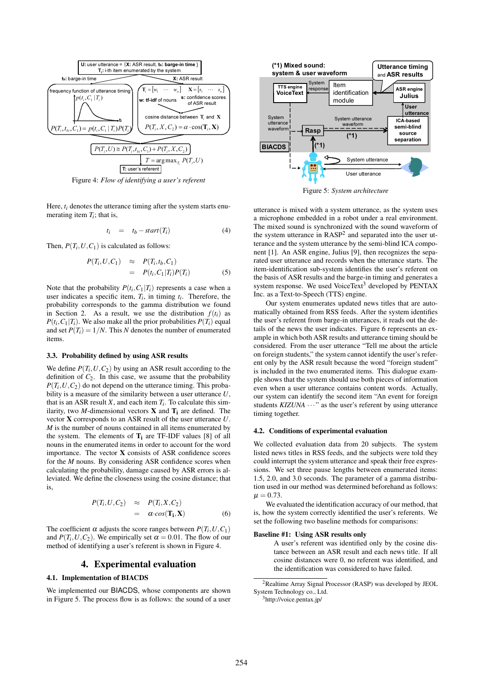

Figure 4: *Flow of identifying a user's referent*

Here,  $t_i$  denotes the utterance timing after the system starts enumerating item  $T_i$ ; that is,

$$
t_i = t_b - start(T_i) \tag{4}
$$

Then,  $P(T_i, U, C_1)$  is calculated as follows:

$$
P(T_i, U, C_1) \approx P(T_i, t_b, C_1)
$$
  
= 
$$
P(t_i, C_1 | T_i) P(T_i)
$$
 (5)

Note that the probability  $P(t_i, C_1 | T_i)$  represents a case when a user indicates a specific item,  $T_i$ , in timing  $t_i$ . Therefore, the probability corresponds to the gamma distribution we found in Section 2. As a result, we use the distribution  $f(t_i)$  as  $P(t_i, C_1 | T_i)$ . We also make all the prior probabilities  $P(T_i)$  equal and set  $P(T_i) = 1/N$ . This *N* denotes the number of enumerated items.

#### 3.3. Probability defined by using ASR results

We define  $P(T_i, U, C_2)$  by using an ASR result according to the definition of  $C_2$ . In this case, we assume that the probability  $P(T_i, U, C_2)$  do not depend on the utterance timing. This probability is a measure of the similarity between a user utterance *U*, that is an ASR result  $X$ , and each item  $T_i$ . To calculate this similarity, two *M*-dimensional vectors **X** and  $T_i$  are defined. The vector X corresponds to an ASR result of the user utterance *U*. *M* is the number of nouns contained in all items enumerated by the system. The elements of  $T_i$  are TF-IDF values [8] of all nouns in the enumerated items in order to account for the word importance. The vector  $X$  consists of ASR confidence scores for the *M* nouns. By considering ASR confidence scores when calculating the probability, damage caused by ASR errors is alleviated. We define the closeness using the cosine distance; that is, Figure 4: Flow of identicial user's referred<br>
Here. A denotes the tutterance initiag after the system starts can-<br>
Here. A denotes the tutterance initial of a user of a user uncertainty of a user uncertainty of a user unc

$$
P(T_i, U, C_2) \approx P(T_i, X, C_2)
$$
  
=  $\alpha \cdot cos(\mathbf{T_i}, \mathbf{X})$  (6)

The coefficient  $\alpha$  adjusts the score ranges between  $P(T_i, U, C_1)$ and  $P(T_i, U, C_2)$ . We empirically set  $\alpha = 0.01$ . The flow of our method of identifying a user's referent is shown in Figure 4.

#### 4. Experimental evaluation

#### 4.1. Implementation of BIACDS

We implemented our BIACDS, whose components are shown



Figure 5: *System architecture*

utterance is mixed with a system utterance, as the system uses a microphone embedded in a robot under a real environment. The mixed sound is synchronized with the sound waveform of the system utterance in  $RASP<sup>2</sup>$  and separated into the user utterance and the system utterance by the semi-blind ICA component [1]. An ASR engine, Julius [9], then recognizes the separated user utterance and records when the utterance starts. The item-identification sub-system identifies the user's referent on the basis of ASR results and the barge-in timing and generates a system response. We used VoiceText<sup>3</sup> developed by  $PENTAX$ Inc. as a Text-to-Speech (TTS) engine.

Our system enumerates updated news titles that are automatically obtained from RSS feeds. After the system identifies the user's referent from barge-in utterances, it reads out the details of the news the user indicates. Figure 6 represents an example in which both ASR results and utterance timing should be considered. From the user utterance "Tell me about the article on foreign students," the system cannot identify the user's referent only by the ASR result because the word "foreign student" is included in the two enumerated items. This dialogue example shows that the system should use both pieces of information even when a user utterance contains content words. Actually, our system can identify the second item "An event for foreign students *KIZUNA*  $\cdots$  as the user's referent by using utterance timing together.

#### 4.2. Conditions of experimental evaluation

We collected evaluation data from 20 subjects. The system listed news titles in RSS feeds, and the subjects were told they could interrupt the system utterance and speak their free expressions. We set three pause lengths between enumerated items: 1.5, 2.0, and 3.0 seconds. The parameter of a gamma distribution used in our method was determined beforehand as follows:  $\mu = 0.73$ .

We evaluated the identification accuracy of our method, that is, how the system correctly identified the user's referents. We set the following two baseline methods for comparisons:

#### Baseline #1: Using ASR results only

A user's referent was identified only by the cosine distance between an ASR result and each news title. If all cosine distances were 0, no referent was identified, and the identification was considered to have failed.

<sup>2</sup>Realtime Array Signal Processor (RASP) was developed by JEOL System Technology co., Ltd.

<sup>3</sup>http://voice.pentax.jp/